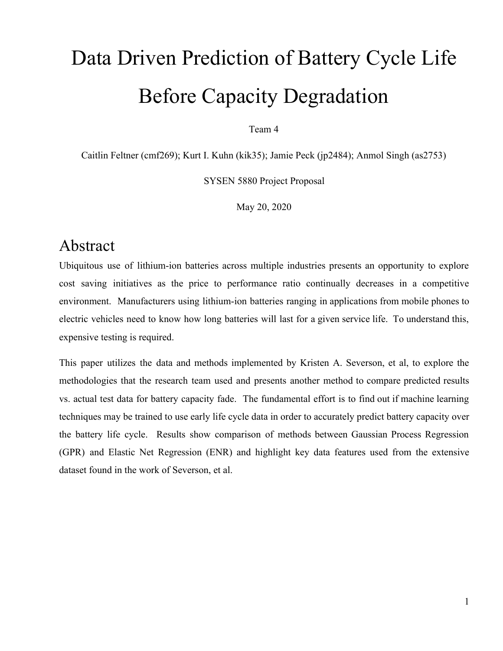# Data Driven Prediction of Battery Cycle Life Before Capacity Degradation

Team 4

Caitlin Feltner (cmf269); Kurt I. Kuhn (kik35); Jamie Peck (jp2484); Anmol Singh (as2753)

SYSEN 5880 Project Proposal

May 20, 2020

### Abstract

Ubiquitous use of lithium-ion batteries across multiple industries presents an opportunity to explore cost saving initiatives as the price to performance ratio continually decreases in a competitive environment. Manufacturers using lithium-ion batteries ranging in applications from mobile phones to electric vehicles need to know how long batteries will last for a given service life. To understand this, expensive testing is required.

This paper utilizes the data and methods implemented by Kristen A. Severson, et al, to explore the methodologies that the research team used and presents another method to compare predicted results vs. actual test data for battery capacity fade. The fundamental effort is to find out if machine learning techniques may be trained to use early life cycle data in order to accurately predict battery capacity over the battery life cycle. Results show comparison of methods between Gaussian Process Regression (GPR) and Elastic Net Regression (ENR) and highlight key data features used from the extensive dataset found in the work of Severson, et al.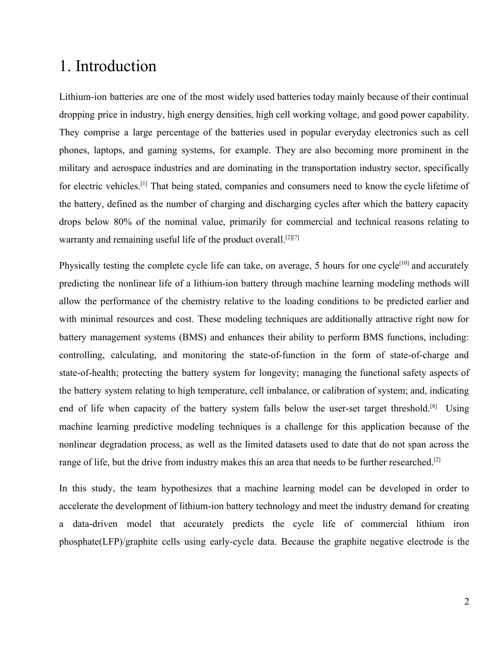### 1. Introduction

Lithium-ion batteries are one of the most widely used batteries today mainly because of their continual dropping price in industry, high energy densities, high cell working voltage, and good power capability. They comprise a large percentage of the batteries used in popular everyday electronics such as cell phones, laptops, and gaming systems, for example. They are also becoming more prominent in the military and aerospace industries and are dominating in the transportation industry sector, specifically for electric vehicles.[1] That being stated, companies and consumers need to know the cycle lifetime of the battery, defined as the number of charging and discharging cycles after which the battery capacity drops below 80% of the nominal value, primarily for commercial and technical reasons relating to warranty and remaining useful life of the product overall.<sup>[2][7]</sup>

Physically testing the complete cycle life can take, on average, 5 hours for one cycle<sup>[10]</sup> and accurately predicting the nonlinear life of a lithium-ion battery through machine learning modeling methods will allow the performance of the chemistry relative to the loading conditions to be predicted earlier and with minimal resources and cost. These modeling techniques are additionally attractive right now for battery management systems (BMS) and enhances their ability to perform BMS functions, including: controlling, calculating, and monitoring the state-of-function in the form of state-of-charge and state-of-health; protecting the battery system for longevity; managing the functional safety aspects of the battery system relating to high temperature, cell imbalance, or calibration of system; and, indicating end of life when capacity of the battery system falls below the user-set target threshold.<sup>[8]</sup> Using machine learning predictive modeling techniques is a challenge for this application because of the nonlinear degradation process, as well as the limited datasets used to date that do not span across the range of life, but the drive from industry makes this an area that needs to be further researched.<sup>[2]</sup>

In this study, the team hypothesizes that a machine learning model can be developed in order to accelerate the development of lithium-ion battery technology and meet the industry demand for creating a data-driven model that accurately predicts the cycle life of commercial lithium iron phosphate(LFP)/graphite cells using early-cycle data. Because the graphite negative electrode is the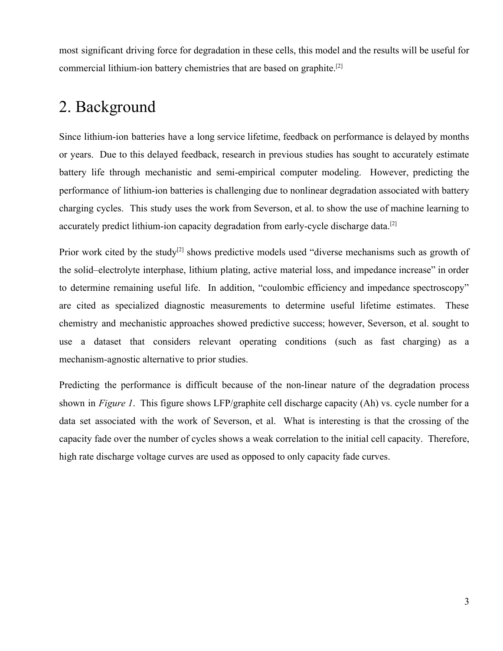most significant driving force for degradation in these cells, this model and the results will be useful for commercial lithium-ion battery chemistries that are based on graphite.[2]

### 2. Background

Since lithium-ion batteries have a long service lifetime, feedback on performance is delayed by months or years. Due to this delayed feedback, research in previous studies has sought to accurately estimate battery life through mechanistic and semi-empirical computer modeling. However, predicting the performance of lithium-ion batteries is challenging due to nonlinear degradation associated with battery charging cycles. This study uses the work from Severson, et al. to show the use of machine learning to accurately predict lithium-ion capacity degradation from early-cycle discharge data.<sup>[2]</sup>

Prior work cited by the study<sup>[2]</sup> shows predictive models used "diverse mechanisms such as growth of the solid–electrolyte interphase, lithium plating, active material loss, and impedance increase" in order to determine remaining useful life. In addition, "coulombic efficiency and impedance spectroscopy" are cited as specialized diagnostic measurements to determine useful lifetime estimates. These chemistry and mechanistic approaches showed predictive success; however, Severson, et al. sought to use a dataset that considers relevant operating conditions (such as fast charging) as a mechanism-agnostic alternative to prior studies.

Predicting the performance is difficult because of the non-linear nature of the degradation process shown in *Figure 1*. This figure shows LFP/graphite cell discharge capacity (Ah) vs. cycle number for a data set associated with the work of Severson, et al. What is interesting is that the crossing of the capacity fade over the number of cycles shows a weak correlation to the initial cell capacity. Therefore, high rate discharge voltage curves are used as opposed to only capacity fade curves.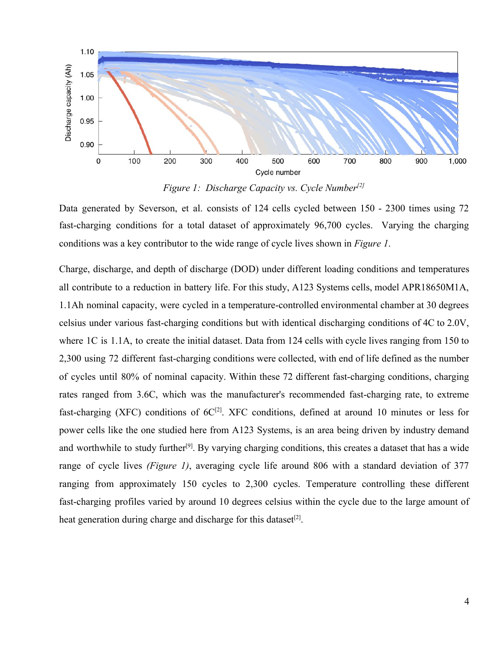

*Figure 1: Discharge Capacity vs. Cycle Number[2]*

Data generated by Severson, et al. consists of 124 cells cycled between 150 - 2300 times using 72 fast-charging conditions for a total dataset of approximately 96,700 cycles. Varying the charging conditions was a key contributor to the wide range of cycle lives shown in *Figure 1*.

Charge, discharge, and depth of discharge (DOD) under different loading conditions and temperatures all contribute to a reduction in battery life. For this study, A123 Systems cells, model APR18650M1A, 1.1Ah nominal capacity, were cycled in a temperature-controlled environmental chamber at 30 degrees celsius under various fast-charging conditions but with identical discharging conditions of 4C to 2.0V, where 1C is 1.1A, to create the initial dataset. Data from 124 cells with cycle lives ranging from 150 to 2,300 using 72 different fast-charging conditions were collected, with end of life defined as the number of cycles until 80% of nominal capacity. Within these 72 different fast-charging conditions, charging rates ranged from 3.6C, which was the manufacturer's recommended fast-charging rate, to extreme fast-charging (XFC) conditions of  $6C^{[2]}$ . XFC conditions, defined at around 10 minutes or less for power cells like the one studied here from A123 Systems, is an area being driven by industry demand and worthwhile to study further<sup>[9]</sup>. By varying charging conditions, this creates a dataset that has a wide range of cycle lives *(Figure 1)*, averaging cycle life around 806 with a standard deviation of 377 ranging from approximately 150 cycles to 2,300 cycles. Temperature controlling these different fast-charging profiles varied by around 10 degrees celsius within the cycle due to the large amount of heat generation during charge and discharge for this dataset<sup>[2]</sup>.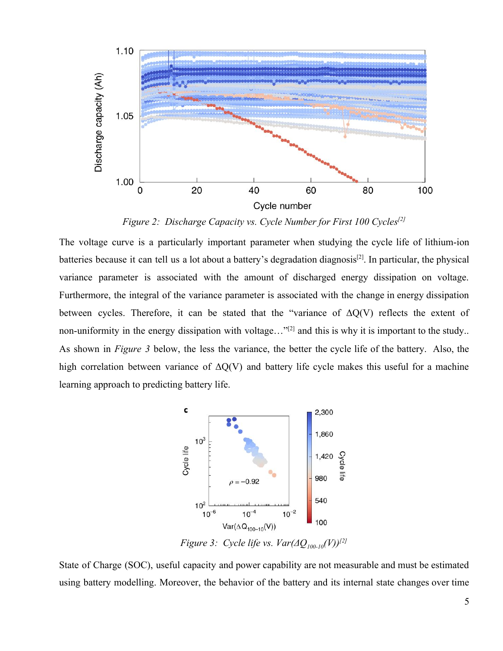

*Figure 2: Discharge Capacity vs. Cycle Number for First 100 Cycles[2]*

The voltage curve is a particularly important parameter when studying the cycle life of lithium-ion batteries because it can tell us a lot about a battery's degradation diagnosis<sup>[2]</sup>. In particular, the physical variance parameter is associated with the amount of discharged energy dissipation on voltage. Furthermore, the integral of the variance parameter is associated with the change in energy dissipation between cycles. Therefore, it can be stated that the "variance of  $\Delta Q(V)$  reflects the extent of non-uniformity in the energy dissipation with voltage..."<sup>[2]</sup> and this is why it is important to the study.. As shown in *Figure 3* below, the less the variance, the better the cycle life of the battery. Also, the high correlation between variance of  $\Delta Q(V)$  and battery life cycle makes this useful for a machine learning approach to predicting battery life.



*Figure 3: Cycle life vs. Var(ΔQ100-10 (V))[2]*

State of Charge (SOC), useful capacity and power capability are not measurable and must be estimated using battery modelling. Moreover, the behavior of the battery and its internal state changes over time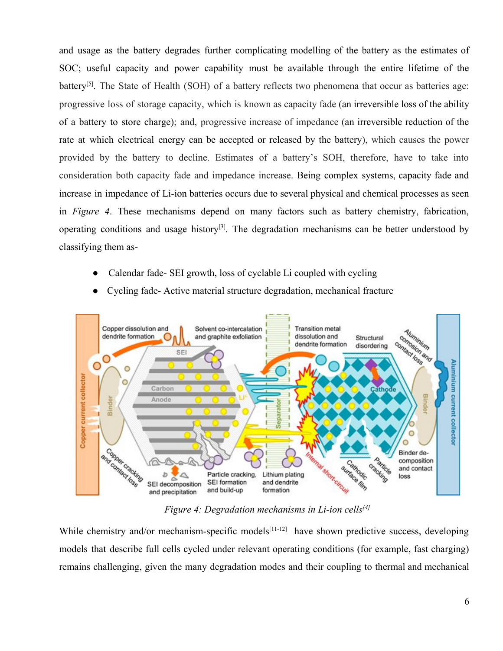and usage as the battery degrades further complicating modelling of the battery as the estimates of SOC; useful capacity and power capability must be available through the entire lifetime of the battery<sup>[5]</sup>. The State of Health (SOH) of a battery reflects two phenomena that occur as batteries age: progressive loss of storage capacity, which is known as capacity fade (an irreversible loss of the ability of a battery to store charge); and, progressive increase of impedance (an irreversible reduction of the rate at which electrical energy can be accepted or released by the battery), which causes the power provided by the battery to decline. Estimates of a battery's SOH, therefore, have to take into consideration both capacity fade and impedance increase. Being complex systems, capacity fade and increase in impedance of Li-ion batteries occurs due to several physical and chemical processes as seen in *Figure 4*. These mechanisms depend on many factors such as battery chemistry, fabrication, operating conditions and usage history<sup>[3]</sup>. The degradation mechanisms can be better understood by classifying them as-

- Calendar fade- SEI growth, loss of cyclable Li coupled with cycling
- Cycling fade- Active material structure degradation, mechanical fracture



*Figure 4: [Degradation mechanisms](https://www.sciencedirect.com/topics/engineering/degradation-mechanism) in Li-ion cells[4]*

While chemistry and/or mechanism-specific models $[11-12]$  have shown predictive success, developing models that describe full cells cycled under relevant operating conditions (for example, fast charging) remains challenging, given the many degradation modes and their coupling to thermal and mechanical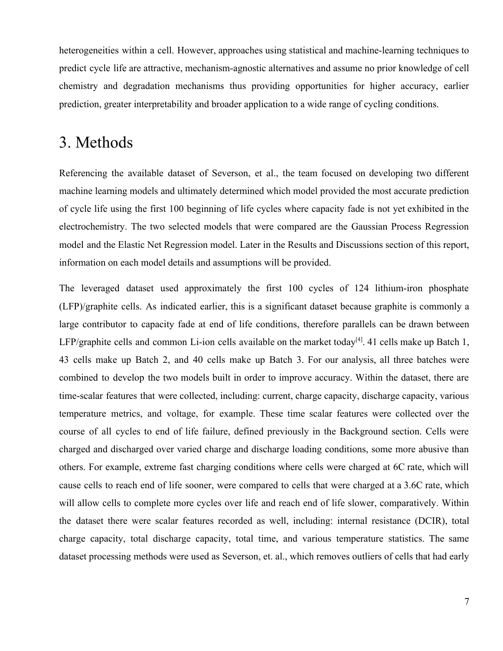heterogeneities within a cell. However, approaches using statistical and machine-learning techniques to predict cycle life are attractive, mechanism-agnostic alternatives and assume no prior knowledge of cell chemistry and degradation mechanisms thus providing opportunities for higher accuracy, earlier prediction, greater interpretability and broader application to a wide range of cycling conditions.

### 3. Methods

Referencing the available dataset of Severson, et al., the team focused on developing two different machine learning models and ultimately determined which model provided the most accurate prediction of cycle life using the first 100 beginning of life cycles where capacity fade is not yet exhibited in the electrochemistry. The two selected models that were compared are the Gaussian Process Regression model and the Elastic Net Regression model. Later in the Results and Discussions section of this report, information on each model details and assumptions will be provided.

The leveraged dataset used approximately the first 100 cycles of 124 lithium-iron phosphate (LFP)/graphite cells. As indicated earlier, this is a significant dataset because graphite is commonly a large contributor to capacity fade at end of life conditions, therefore parallels can be drawn between LFP/graphite cells and common Li-ion cells available on the market today<sup>[4]</sup>. 41 cells make up Batch 1, 43 cells make up Batch 2, and 40 cells make up Batch 3. For our analysis, all three batches were combined to develop the two models built in order to improve accuracy. Within the dataset, there are time-scalar features that were collected, including: current, charge capacity, discharge capacity, various temperature metrics, and voltage, for example. These time scalar features were collected over the course of all cycles to end of life failure, defined previously in the Background section. Cells were charged and discharged over varied charge and discharge loading conditions, some more abusive than others. For example, extreme fast charging conditions where cells were charged at 6C rate, which will cause cells to reach end of life sooner, were compared to cells that were charged at a 3.6C rate, which will allow cells to complete more cycles over life and reach end of life slower, comparatively. Within the dataset there were scalar features recorded as well, including: internal resistance (DCIR), total charge capacity, total discharge capacity, total time, and various temperature statistics. The same dataset processing methods were used as Severson, et. al., which removes outliers of cells that had early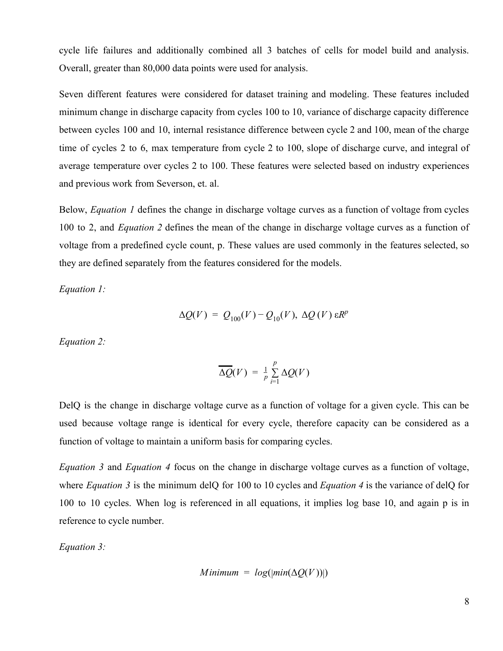cycle life failures and additionally combined all 3 batches of cells for model build and analysis. Overall, greater than 80,000 data points were used for analysis.

Seven different features were considered for dataset training and modeling. These features included minimum change in discharge capacity from cycles 100 to 10, variance of discharge capacity difference between cycles 100 and 10, internal resistance difference between cycle 2 and 100, mean of the charge time of cycles 2 to 6, max temperature from cycle 2 to 100, slope of discharge curve, and integral of average temperature over cycles 2 to 100. These features were selected based on industry experiences and previous work from Severson, et. al.

Below, *Equation 1* defines the change in discharge voltage curves as a function of voltage from cycles 100 to 2, and *Equation 2* defines the mean of the change in discharge voltage curves as a function of voltage from a predefined cycle count, p. These values are used commonly in the features selected, so they are defined separately from the features considered for the models.

*Equation 1:*

$$
\Delta Q(V) = Q_{100}(V) - Q_{10}(V), \ \Delta Q(V) \ \varepsilon R^{p}
$$

*Equation 2:*

$$
\overline{\Delta Q}(V) = \frac{1}{p} \sum_{i=1}^{p} \Delta Q(V)
$$

DelQ is the change in discharge voltage curve as a function of voltage for a given cycle. This can be used because voltage range is identical for every cycle, therefore capacity can be considered as a function of voltage to maintain a uniform basis for comparing cycles.

*Equation 3* and *Equation 4* focus on the change in discharge voltage curves as a function of voltage, where *Equation* 3 is the minimum delQ for 100 to 10 cycles and *Equation* 4 is the variance of delQ for 100 to 10 cycles. When log is referenced in all equations, it implies log base 10, and again p is in reference to cycle number.

*Equation 3:*

$$
Minimum = log(|min(\Delta Q(V))|)
$$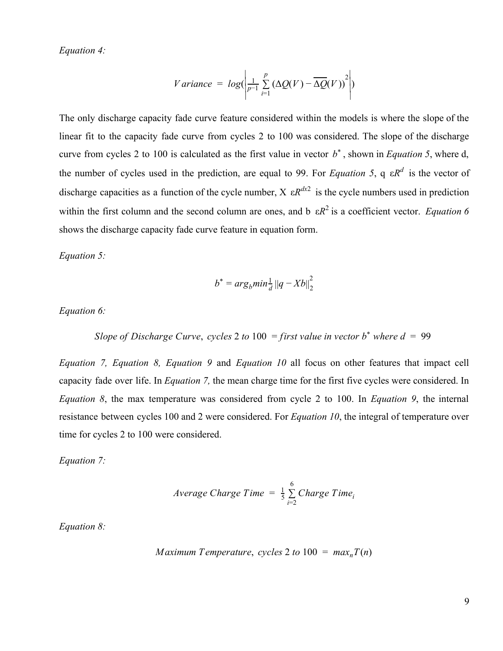*Equation 4:*

$$
V \text{ariance} = \log \Biggl( \frac{1}{p-1} \sum_{i=1}^{p} \big( \Delta Q(V) - \overline{\Delta Q}(V) \big)^2 \Biggr)
$$

The only discharge capacity fade curve feature considered within the models is where the slope of the linear fit to the capacity fade curve from cycles 2 to 100 was considered. The slope of the discharge curve from cycles 2 to 100 is calculated as the first value in vector  $b^*$ , shown in *Equation* 5, where d, the number of cycles used in the prediction, are equal to 99. For *Equation* 5, q  $\epsilon R^d$  is the vector of discharge capacities as a function of the cycle number,  $X \in \mathbb{R}^{dx^2}$  is the cycle numbers used in prediction within the first column and the second column are ones, and b  $\epsilon R^2$  is a coefficient vector. *Equation* 6 shows the discharge capacity fade curve feature in equation form.

*Equation 5:*

$$
b^* = arg_b min_{d}^{1} ||q - Xb||_2^2
$$

*Equation 6:*

*Slope of Discharge Curve*, *cycles* 2 *to* 100 = *first value in vector*  $b^*$  *where*  $d = 99$ 

*Equation 7, Equation 8, Equation 9* and *Equation 10* all focus on other features that impact cell capacity fade over life. In *Equation 7,* the mean charge time for the first five cycles were considered. In *Equation 8*, the max temperature was considered from cycle 2 to 100. In *Equation 9*, the internal resistance between cycles 100 and 2 were considered. For *Equation 10*, the integral of temperature over time for cycles 2 to 100 were considered.

*Equation 7:*

$$
Average Charge Time = \frac{1}{5} \sum_{i=2}^{6} Charge Time_i
$$

*Equation 8:*

Maximum Temperature, cycles 2 to 100 = 
$$
max_n T(n)
$$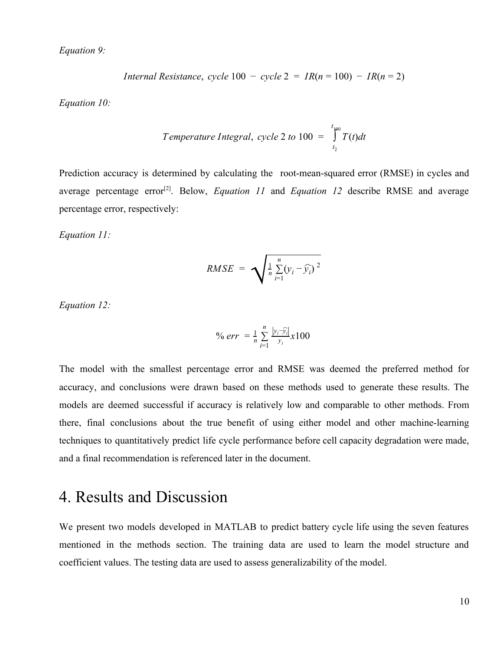*Equation 9:*

*Internal Resistance, cycle* 100 
$$
- cycle
$$
 2 =  $IR(n = 100) - IR(n = 2)$ 

*Equation 10:*

Temperature Integral, cycle 2 to 100 = 
$$
\int_{t_2}^{t_{100}} T(t) dt
$$

Prediction accuracy is determined by calculating the root-mean-squared error (RMSE) in cycles and average percentage error<sup>[2]</sup>. Below, *Equation 11* and *Equation 12* describe RMSE and average percentage error, respectively:

*Equation 11:*

$$
RMSE = \sqrt{\frac{1}{n} \sum_{i=1}^{n} (y_i - \widehat{y_i})^2}
$$

*Equation 12:*

$$
\% \, err \, = \frac{1}{n} \sum_{i=1}^{n} \frac{|y_i - \widehat{y_i}|}{y_i} x100
$$

The model with the smallest percentage error and RMSE was deemed the preferred method for accuracy, and conclusions were drawn based on these methods used to generate these results. The models are deemed successful if accuracy is relatively low and comparable to other methods. From there, final conclusions about the true benefit of using either model and other machine-learning techniques to quantitatively predict life cycle performance before cell capacity degradation were made, and a final recommendation is referenced later in the document.

### 4. Results and Discussion

We present two models developed in MATLAB to predict battery cycle life using the seven features mentioned in the methods section. The training data are used to learn the model structure and coefficient values. The testing data are used to assess generalizability of the model.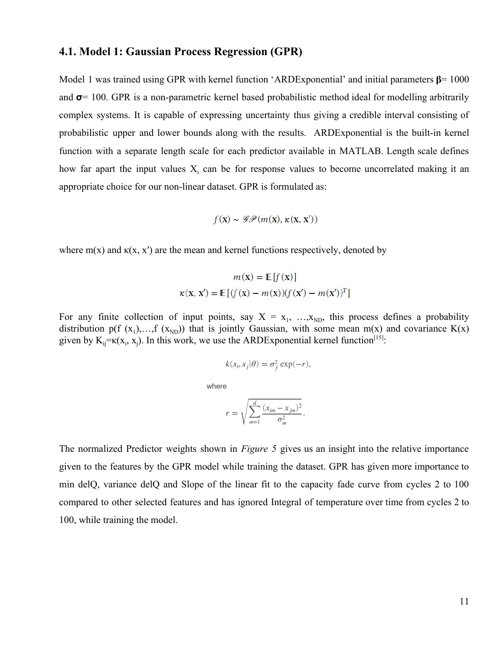#### **4.1. Model 1: Gaussian Process Regression (GPR)**

Model 1 was trained using GPR with kernel function 'ARDExponential' and initial parameters  $\beta$  = 1000 and  $\sigma$  = 100. GPR is a non-parametric kernel based probabilistic method ideal for modelling arbitrarily complex systems. It is capable of expressing uncertainty thus giving a credible interval consisting of probabilistic upper and lower bounds along with the results. ARDExponential is the built-in kernel function with a separate length scale for each predictor available in MATLAB. Length scale defines how far apart the input values  $X_i$  can be for response values to become uncorrelated making it an appropriate choice for our non-linear dataset. GPR is formulated as:

$$
f(\mathbf{x}) \sim \mathcal{GP}(m(\mathbf{x}), \kappa(\mathbf{x}, \mathbf{x}'))
$$

where  $m(x)$  and  $\kappa(x, x')$  are the mean and kernel functions respectively, denoted by

$$
m(\mathbf{x}) = \mathbb{E}[f(\mathbf{x})]
$$

$$
\kappa(\mathbf{x}, \mathbf{x}') = \mathbb{E}[(f(\mathbf{x}) - m(\mathbf{x}))(f(\mathbf{x}') - m(\mathbf{x}'))^T]
$$

For any finite collection of input points, say  $X = x_1, \ldots, x_{ND}$ , this process defines a probability distribution p(f  $(x_1)$ ,...,f  $(x_{ND})$ ) that is jointly Gaussian, with some mean m(x) and covariance K(x) given by  $K_{ij} = \kappa(x_i, x_j)$ . In this work, we use the ARDExponential kernel function<sup>[15]</sup>:

$$
k(x_i, x_j | \theta) = \sigma_f^2 \exp(-r),
$$

where

$$
r = \sqrt{\sum_{m=1}^d \frac{(x_{im} - x_{jm})^2}{\sigma_m^2}}
$$

The normalized Predictor weights shown in *Figure 5* gives us an insight into the relative importance given to the features by the GPR model while training the dataset. GPR has given more importance to min delQ, variance delQ and Slope of the linear fit to the capacity fade curve from cycles 2 to 100 compared to other selected features and has ignored Integral of temperature over time from cycles 2 to 100, while training the model.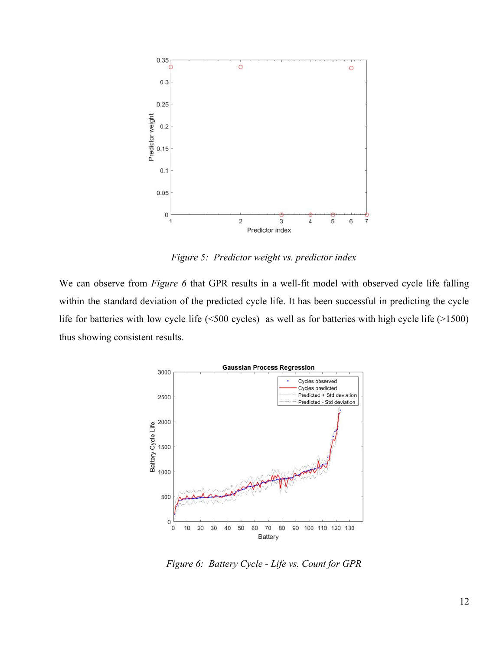

*Figure 5: Predictor weight vs. predictor index*

We can observe from *Figure* 6 that GPR results in a well-fit model with observed cycle life falling within the standard deviation of the predicted cycle life. It has been successful in predicting the cycle life for batteries with low cycle life (<500 cycles) as well as for batteries with high cycle life (>1500) thus showing consistent results.



*Figure 6: Battery Cycle - Life vs. Count for GPR*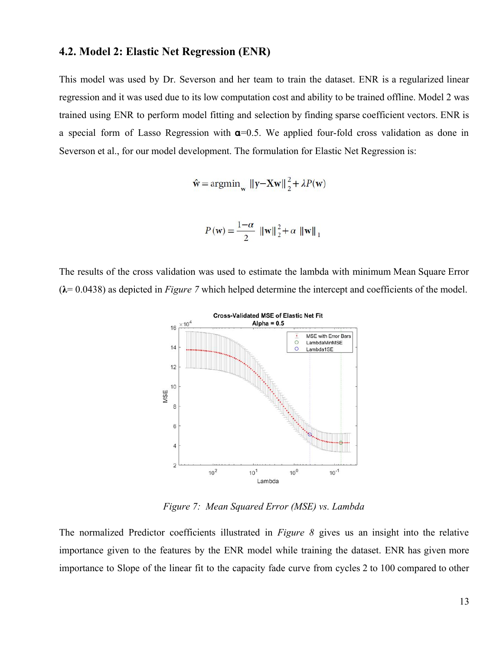#### **4.2. Model 2: Elastic Net Regression (ENR)**

This model was used by Dr. Severson and her team to train the dataset. ENR is a regularized linear regression and it was used due to its low computation cost and ability to be trained offline. Model 2 was trained using ENR to perform model fitting and selection by finding sparse coefficient vectors. ENR is a special form of Lasso Regression with  $\alpha$ =0.5. We applied four-fold cross validation as done in Severson et al., for our model development. The formulation for Elastic Net Regression is:

 $\hat{\mathbf{w}} = \arg\min_{\mathbf{w}} \|\mathbf{y} - \mathbf{X}\mathbf{w}\|_2^2 + \lambda P(\mathbf{w})$ 

$$
P(\mathbf{w}) = \frac{1-\alpha}{2} \| \mathbf{w} \|_{2}^{2} + \alpha \| \mathbf{w} \|_{1}
$$

The results of the cross validation was used to estimate the lambda with minimum Mean Square Error  $(\lambda = 0.0438)$  as depicted in *Figure 7* which helped determine the intercept and coefficients of the model.



*Figure 7: Mean Squared Error (MSE) vs. Lambda*

The normalized Predictor coefficients illustrated in *Figure 8* gives us an insight into the relative importance given to the features by the ENR model while training the dataset. ENR has given more importance to Slope of the linear fit to the capacity fade curve from cycles 2 to 100 compared to other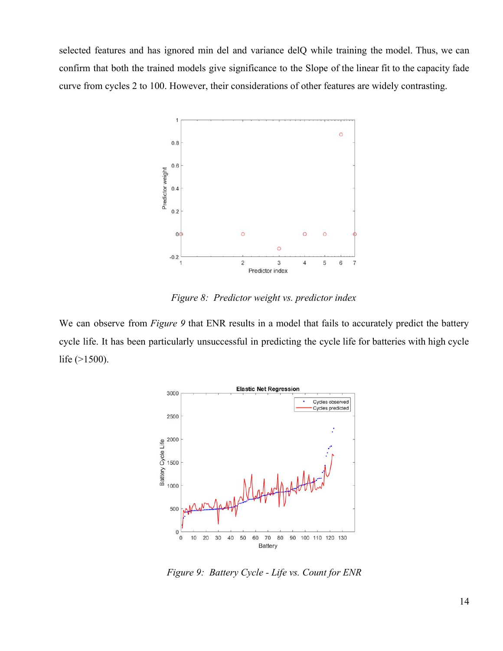selected features and has ignored min del and variance delQ while training the model. Thus, we can confirm that both the trained models give significance to the Slope of the linear fit to the capacity fade curve from cycles 2 to 100. However, their considerations of other features are widely contrasting.



*Figure 8: Predictor weight vs. predictor index*

We can observe from *Figure* 9 that ENR results in a model that fails to accurately predict the battery cycle life. It has been particularly unsuccessful in predicting the cycle life for batteries with high cycle life (>1500).



*Figure 9: Battery Cycle - Life vs. Count for ENR*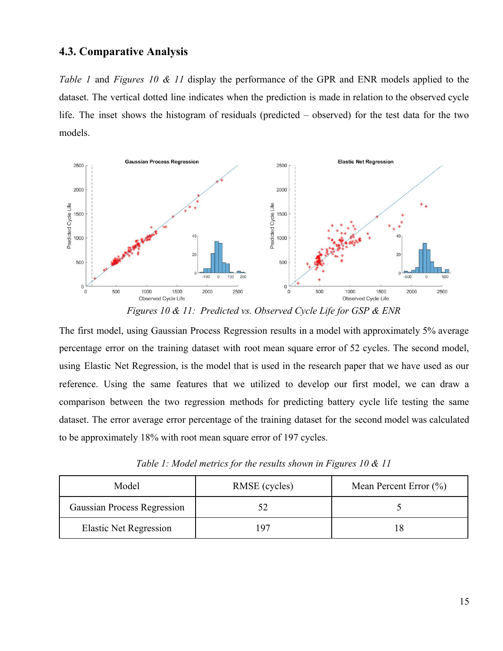### **4.3. Comparative Analysis**

*Table 1* and *Figures 10 & 11* display the performance of the GPR and ENR models applied to the dataset. The vertical dotted line indicates when the prediction is made in relation to the observed cycle life. The inset shows the histogram of residuals (predicted – observed) for the test data for the two models.



*Figures 10 & 11: Predicted vs. Observed Cycle Life for GSP & ENR*

The first model, using Gaussian Process Regression results in a model with approximately 5% average percentage error on the training dataset with root mean square error of 52 cycles. The second model, using Elastic Net Regression, is the model that is used in the research paper that we have used as our reference. Using the same features that we utilized to develop our first model, we can draw a comparison between the two regression methods for predicting battery cycle life testing the same dataset. The error average error percentage of the training dataset for the second model was calculated to be approximately 18% with root mean square error of 197 cycles.

|  | Table 1: Model metrics for the results shown in Figures 10 $\&$ 11 |  |  |
|--|--------------------------------------------------------------------|--|--|
|  |                                                                    |  |  |

| Model                              | RMSE (cycles) | Mean Percent Error $(\% )$ |  |
|------------------------------------|---------------|----------------------------|--|
| <b>Gaussian Process Regression</b> |               |                            |  |
| <b>Elastic Net Regression</b>      | . Q7          |                            |  |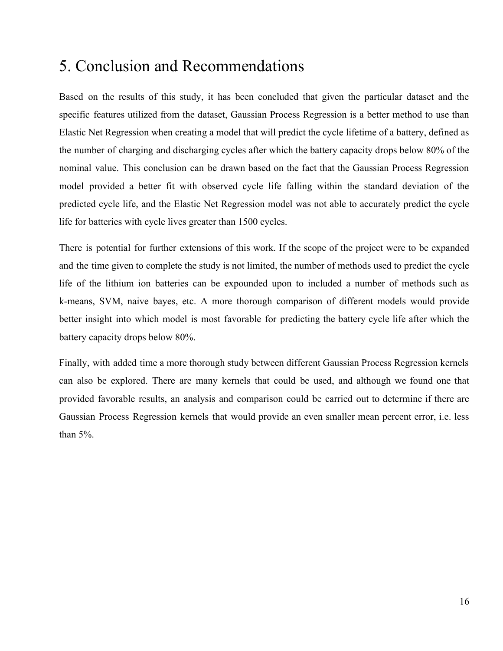### 5. Conclusion and Recommendations

Based on the results of this study, it has been concluded that given the particular dataset and the specific features utilized from the dataset, Gaussian Process Regression is a better method to use than Elastic Net Regression when creating a model that will predict the cycle lifetime of a battery, defined as the number of charging and discharging cycles after which the battery capacity drops below 80% of the nominal value. This conclusion can be drawn based on the fact that the Gaussian Process Regression model provided a better fit with observed cycle life falling within the standard deviation of the predicted cycle life, and the Elastic Net Regression model was not able to accurately predict the cycle life for batteries with cycle lives greater than 1500 cycles.

There is potential for further extensions of this work. If the scope of the project were to be expanded and the time given to complete the study is not limited, the number of methods used to predict the cycle life of the lithium ion batteries can be expounded upon to included a number of methods such as k-means, SVM, naive bayes, etc. A more thorough comparison of different models would provide better insight into which model is most favorable for predicting the battery cycle life after which the battery capacity drops below 80%.

Finally, with added time a more thorough study between different Gaussian Process Regression kernels can also be explored. There are many kernels that could be used, and although we found one that provided favorable results, an analysis and comparison could be carried out to determine if there are Gaussian Process Regression kernels that would provide an even smaller mean percent error, i.e. less than 5%.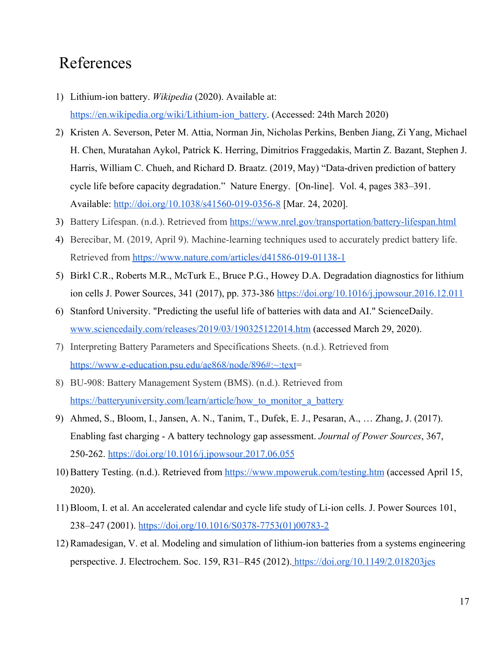### References

- 1) Lithium-ion battery. *Wikipedia* (2020). Available at: [https://en.wikipedia.org/wiki/Lithium-ion\\_battery.](https://en.wikipedia.org/wiki/Lithium-ion_battery) (Accessed: 24th March 2020)
- 2) Kristen A. Severson, Peter M. Attia, Norman Jin, Nicholas Perkins, Benben Jiang, Zi Yang, Michael H. Chen, Muratahan Aykol, Patrick K. Herring, Dimitrios Fraggedakis, Martin Z. Bazant, Stephen J. Harris, William C. Chueh, and Richard D. Braatz. (2019, May) "Data-driven prediction of battery cycle life before capacity degradation." Nature Energy. [On-line]. Vol. 4, pages 383–391. Available: <http://doi.org/10.1038/s41560-019-0356-8>[Mar. 24, 2020].
- 3) Battery Lifespan. (n.d.). Retrieved from <https://www.nrel.gov/transportation/battery-lifespan.html>
- 4) Berecibar, M. (2019, April 9). Machine-learning techniques used to accurately predict battery life. Retrieved from<https://www.nature.com/articles/d41586-019-01138-1>
- 5) Birkl C.R., Roberts M.R., McTurk E., Bruce P.G., Howey D.A. Degradation diagnostics for lithium ion cells J. Power Sources, 341 (2017), pp. 373-386 <https://doi.org/10.1016/j.jpowsour.2016.12.011>
- 6) Stanford University. "Predicting the useful life of batteries with data and AI." ScienceDaily. [www.sciencedaily.com/releases/2019/03/190325122014.htm](http://www.sciencedaily.com/releases/2019/03/190325122014.htm) (accessed March 29, 2020).
- 7) Interpreting Battery Parameters and Specifications Sheets. (n.d.). Retrieved from [https://www.e-education.psu.edu/ae868/node/896#:~:text=](https://www.e-education.psu.edu/ae868/node/896#:~:text)
- 8) BU-908: Battery Management System (BMS). (n.d.). Retrieved from https://batteryuniversity.com/learn/article/how to monitor a battery
- 9) Ahmed, S., Bloom, I., Jansen, A. N., Tanim, T., Dufek, E. J., Pesaran, A., … Zhang, J. (2017). Enabling fast charging - A battery technology gap assessment. *Journal of Power Sources*, 367, 250-262.<https://doi.org/10.1016/j.jpowsour.2017.06.055>
- 10) Battery Testing. (n.d.). Retrieved from <https://www.mpoweruk.com/testing.htm> (accessed April 15, 2020).
- 11) Bloom, I. et al. An accelerated calendar and cycle life study of Li-ion cells. J. Power Sources 101, 238–247 (2001). [https://doi.org/10.1016/S0378-7753\(01\)00783-2](https://doi.org/10.1016/S0378-7753(01)00783-2)
- 12) Ramadesigan, V. et al. Modeling and simulation of lithium-ion batteries from a systems engineering perspective. J. Electrochem. Soc. 159, R31–R45 (2012). <https://doi.org/10.1149/2.018203jes>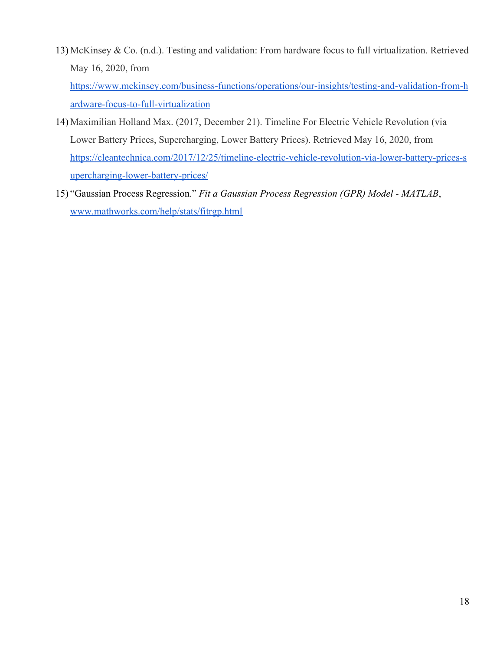13) McKinsey & Co. (n.d.). Testing and validation: From hardware focus to full virtualization. Retrieved May 16, 2020, from

[https://www.mckinsey.com/business-functions/operations/our-insights/testing-and-validation-from-h](https://www.mckinsey.com/business-functions/operations/our-insights/testing-and-validation-from-hardware-focus-to-full-virtualization) [ardware-focus-to-full-virtualization](https://www.mckinsey.com/business-functions/operations/our-insights/testing-and-validation-from-hardware-focus-to-full-virtualization)

- 14) Maximilian Holland Max. (2017, December 21). Timeline For Electric Vehicle Revolution (via Lower Battery Prices, Supercharging, Lower Battery Prices). Retrieved May 16, 2020, from [https://cleantechnica.com/2017/12/25/timeline-electric-vehicle-revolution-via-lower-battery-prices-s](https://cleantechnica.com/2017/12/25/timeline-electric-vehicle-revolution-via-lower-battery-prices-supercharging-lower-battery-prices/) [upercharging-lower-battery-prices/](https://cleantechnica.com/2017/12/25/timeline-electric-vehicle-revolution-via-lower-battery-prices-supercharging-lower-battery-prices/)
- 15) "Gaussian Process Regression." *Fit a Gaussian Process Regression (GPR) Model MATLAB*, [www.mathworks.com/help/stats/fitrgp.html](http://www.mathworks.com/help/stats/fitrgp.html)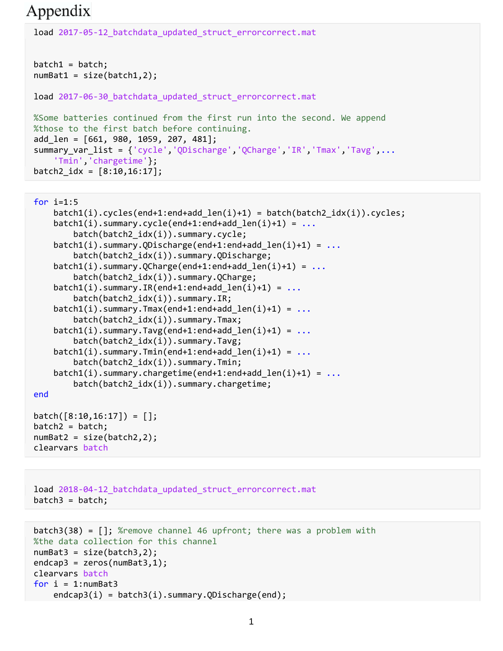## Appendix

```
load 2017-05-12_batchdata_updated_struct_errorcorrect.mat
batch1 = batch;numBat1 = size(batch1,2);load 2017-06-30_batchdata_updated_struct_errorcorrect.mat
%Some batteries continued from the first run into the second. We append 
%those to the first batch before continuing.
add_len = [661, 980, 1059, 207, 481];
summary_var_list = {'cycle','QDischarge','QCharge','IR','Tmax','Tavg',...
     'Tmin','chargetime'};
batch2 idx = [8:10, 16:17];
```

```
for i=1:5 batch1(i).cycles(end+1:end+add_len(i)+1) = batch(batch2_idx(i)).cycles;
    batch1(i).summary.cycle(end+1:end+add len(i)+1) = ... batch(batch2_idx(i)).summary.cycle;
    batch1(i).summary.QDischarge(end+1:end+add len(i)+1) = ...
         batch(batch2_idx(i)).summary.QDischarge;
    batch1(i).summary.QCharge(end+1:end+add_Qlen(i)+1) = ... batch(batch2_idx(i)).summary.QCharge;
    batch1(i).summary.IR(end+1:end+add len(i)+1) = ...
         batch(batch2_idx(i)).summary.IR;
    batch1(i).summary.Tmax(end+1:end+add_len(i)+1) = ... batch(batch2_idx(i)).summary.Tmax;
    batch1(i).summary.Tavg(end+1:end+add len(i)+1) = \dots batch(batch2_idx(i)).summary.Tavg;
    batch1(i).summary.Tmin(end+1:end+add len(i)+1) = ... batch(batch2_idx(i)).summary.Tmin;
    batch1(i).summary. chargetime(end+1:end+add len(i)+1) = ...batch(batch2 idx(i)).summary.chargetime;
end
batch([8:10, 16:17]) = [];
batch2 = batch;
```

```
numBat2 = size(batch2, 2);clearvars batch
```

```
load 2018-04-12 batchdata updated struct errorcorrect.mat
batch3 = batch;
```

```
batch3(38) = []; %remove channel 46 upfront; there was a problem with 
%the data collection for this channel
numBat3 = size(batch3,2);
endcap3 = zeros(numBat3,1);clearvars batch
for i = 1: numBat3
    endcap3(i) = batch3(i).summary.QDischarge(end);
```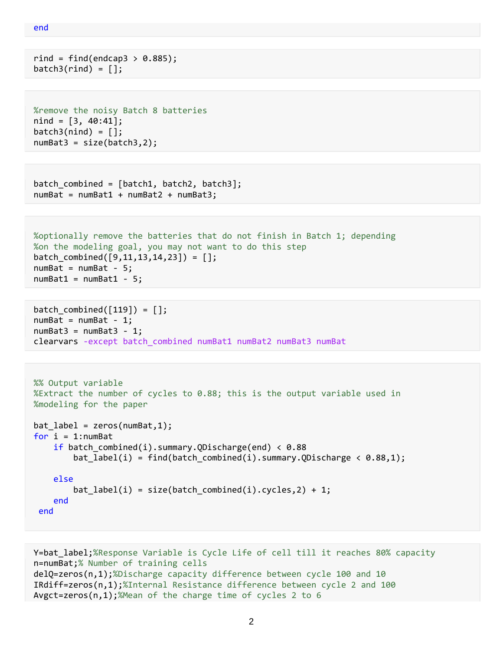```
end
```

```
\text{rind} = \text{find}(\text{endcap3} > 0.885);batch3(rind) = [];
```

```
%remove the noisy Batch 8 batteries
nind = [3, 40:41];batch3(nind) = [];
numBat3 = size(batch3, 2);
```

```
batch combined = \{batch1, batch2, batch3\};numBat = numBat1 + numBat2 + numBat3;
```

```
%optionally remove the batteries that do not finish in Batch 1; depending
%on the modeling goal, you may not want to do this step
batch_combined([9,11,13,14,23]) = [];
numBat = numBat - 5;numBat1 = numBat1 - 5;
```

```
batch combined([119]) = [];
numBat = numBat - 1;numBat3 = numBat3 - 1;clearvars -except batch_combined numBat1 numBat2 numBat3 numBat
```

```
%% Output variable
%Extract the number of cycles to 0.88; this is the output variable used in
%modeling for the paper
bat label = zeros(numBat,1);
for i = 1: numBat
    if batch_combined(i).summary.QDischarge(end) < 0.88bat label(i) = find(batch combined(i).summary.QDischarge < 0.88,1);
     else
        bat label(i) = size(batch combined(i).cycles,2) + 1;
     end
 end
```

```
Y=bat_label;%Response Variable is Cycle Life of cell till it reaches 80% capacity
n=numBat;% Number of training cells
delQ=zeros(n,1);%Discharge capacity difference between cycle 100 and 10
IRdiff=zeros(n,1);%Internal Resistance difference between cycle 2 and 100
Avgct=zeros(n,1);%Mean of the charge time of cycles 2 to 6
```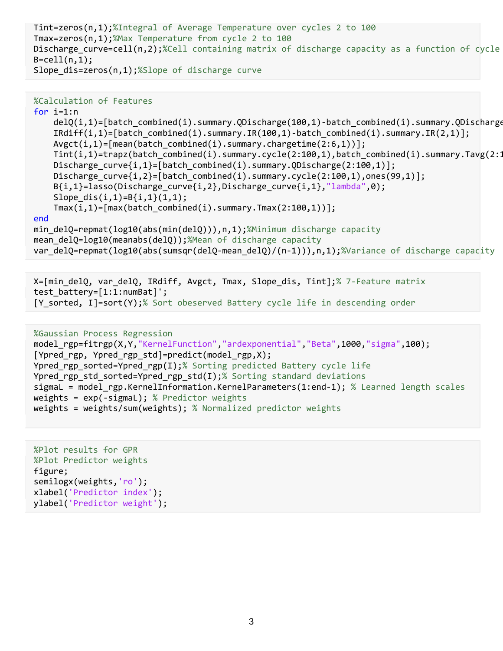```
Tint=zeros(n,1);%Integral of Average Temperature over cycles 2 to 100
Tmax=zeros(n,1);%Max Temperature from cycle 2 to 100
Discharge_curve=cell(n,2);%Cell containing matrix of discharge capacity as a function of cycle
B = cell(n,1);Slope_dis=zeros(n,1);%Slope of discharge curve
```

```
%Calculation of Features
for i=1:n
    delQ(i,1)=[batch_combined(i).summary.QDischarge(100,1)-batch_combined(i).summary.QDischarge
     IRdiff(i,1)=[batch_combined(i).summary.IR(100,1)-batch_combined(i).summary.IR(2,1)];
    Avgct(i,1)=[mean(batch combined(i).summary.chargetime(2:6,1))];
    Tint(i,1)=trapz(batch_combined(i).summary.cycle(2:100,1),batch_combined(i).summary.Tavg(2:1
    Discharge_curve{i,1}=[batch_combined(i).summary.QDischarge(2:100,1)];
     Discharge_curve{i,2}=[batch_combined(i).summary.cycle(2:100,1),ones(99,1)];
    B{i,1}=lasso(Discharge curve{i,2},Discharge curve{i,1},"lambda",0);
    Slope_dis(i,1)=B{i,1}(1,1);
    Tmax(i,1)=\lceil max(batch\_combined(i).summary.Tmax(2:100,1))\rceil;end
min_delQ=repmat(log10(abs(min(delQ))),n,1);%Minimum discharge capacity
mean_delQ=log10(meanabs(delQ));%Mean of discharge capacity
var delQ=repmat(log10(abs(sumsqr(delQ-mean delQ)/(n-1))),n,1);%Variance of discharge capacity
```

```
X=[min_delQ, var_delQ, IRdiff, Avgct, Tmax, Slope_dis, Tint];% 7-Feature matrix
test battery=[1:1:numBat]';
[Y_sorted, I]=sort(Y);% Sort obeserved Battery cycle life in descending order
```
#### %Gaussian Process Regression

```
model_rgp=fitrgp(X,Y,"KernelFunction","ardexponential","Beta",1000,"sigma",100);
[Ypred rgp, Ypred rgp std]=predict(model rgp,X);
Ypred_rgp_sorted=Ypred_rgp(I);% Sorting predicted Battery cycle life
Ypred_rgp_std_sorted=Ypred_rgp_std(I);% Sorting standard deviations
sigmaL = model rgp.KernelInformation.KernelParameters(1:end-1); % Learned length scales
weights = exp(-signal); % Prediction weightsweights = weights/sum(weights); % Normalized predictor weights
```

```
%Plot results for GPR
%Plot Predictor weights
figure;
semilogx(weights,'ro');
xlabel('Predictor index');
ylabel('Predictor weight');
```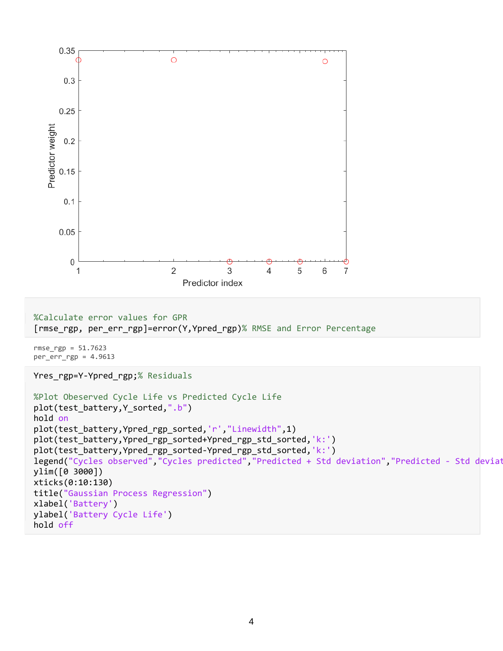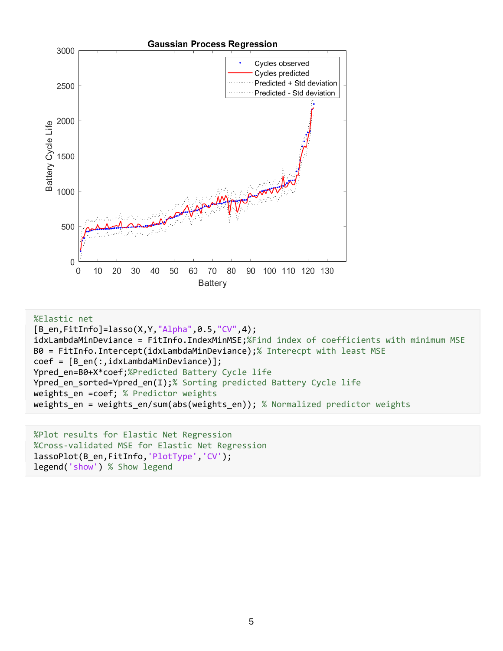

```
%Elastic net
[B_en,FitInfo]=lasso(X,Y,"Alpha",0.5,"CV",4);
idxLambdaMinDeviance = FitInfo.IndexMinMSE;%Find index of coefficients with minimum MSE
B0 = FitInfo.Intercept(idxLambdaMinDeviance);% Interecpt with least MSE
coef = [B_en(:,idxLambdaMinDeviance)];
Ypred en=B0+X*coef;%Predicted Battery Cycle life
Ypred_en_sorted=Ypred_en(I);% Sorting predicted Battery Cycle life
weights_en =coef; % Predictor weights
weights en = weights en/sum(abs(weights en)); % Normalized predictor weights
```

```
%Plot results for Elastic Net Regression
%Cross-validated MSE for Elastic Net Regression
lassoPlot(B_en,FitInfo,'PlotType','CV');
legend('show') % Show legend
```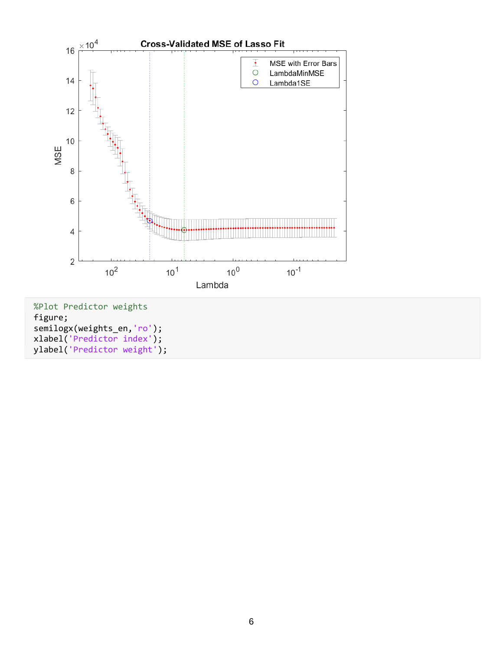

%Plot Predictor weights figure; semilogx(weights\_en,'ro'); xlabel('Predictor index'); ylabel('Predictor weight');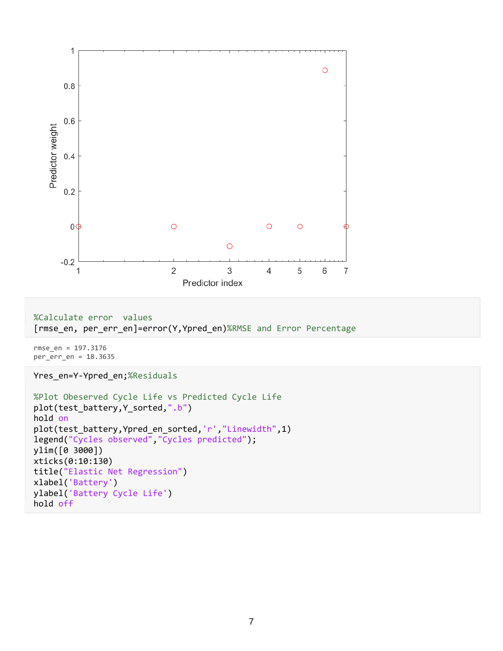

%Calculate error values [rmse\_en, per\_err\_en]=error(Y,Ypred\_en)%RMSE and Error Percentage

rmse\_en = 197.3176 per\_err\_en = 18.3635

Yres\_en=Y-Ypred\_en;%Residuals

```
%Plot Obeserved Cycle Life vs Predicted Cycle Life
plot(test_battery,Y_sorted,".b")
hold on
plot(test_battery,Ypred_en_sorted,'r',"Linewidth",1)
legend("Cycles observed","Cycles predicted");
ylim([0 3000])
xticks(0:10:130)
title("Elastic Net Regression")
xlabel('Battery')
ylabel('Battery Cycle Life')
hold off
```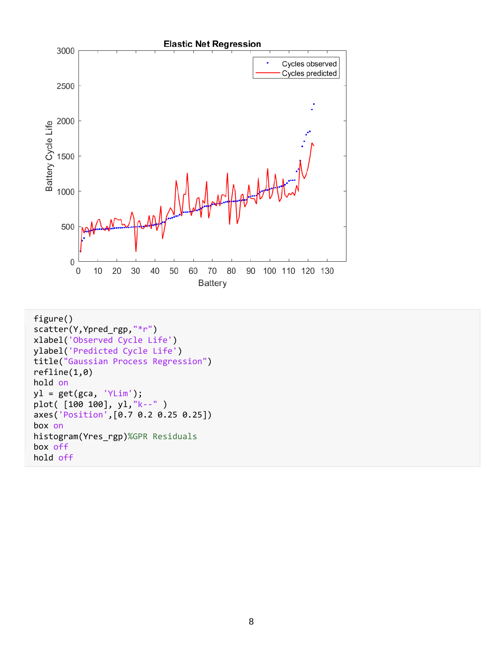

```
figure()
scatter(Y,Ypred_rgp,"*r")
xlabel('Observed Cycle Life')
ylabel('Predicted Cycle Life')
title("Gaussian Process Regression")
refline(1,0)
hold on
y1 = get(gca, 'YLim');plot( [100 100], yl,"k--" )
axes('Position',[0.7 0.2 0.25 0.25])
box on
histogram(Yres_rgp)%GPR Residuals
box off
hold off
```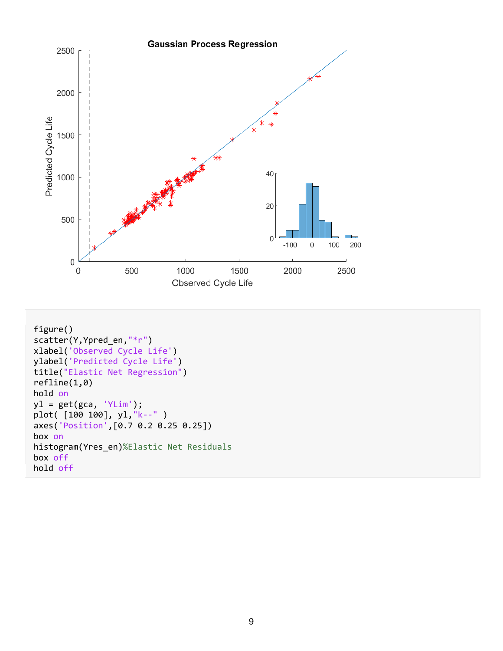

```
figure()
scatter(Y,Ypred_en,"*r")
xlabel('Observed Cycle Life')
ylabel('Predicted Cycle Life')
title("Elastic Net Regression")
refline(1,0)
hold on
y1 = get(gca, 'YLim');plot( [100 100], yl,"k--" )
axes('Position',[0.7 0.2 0.25 0.25])
box on
histogram(Yres_en)%Elastic Net Residuals
box off
hold off
```